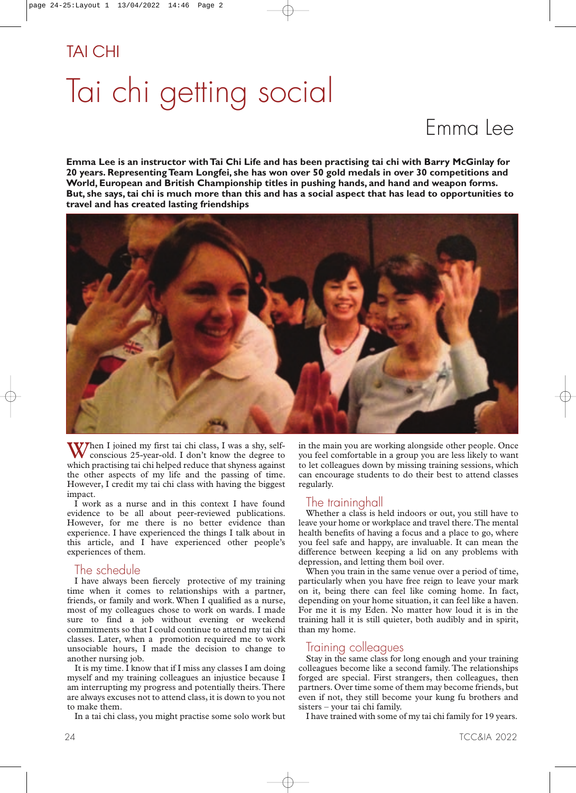# Tai chi getting social

## Emma Lee

**Emma Lee is an instructor with Tai Chi Life and has been practising tai chi with Barry McGinlay for 20 years. Representing Team Longfei, she has won over 50 gold medals in over 30 competitions and World, European and British Championship titles in pushing hands, and hand and weapon forms. But, she says, tai chi is much more than this and has a social aspect that has lead to opportunities to travel and has created lasting friendships**



When I joined my first tai chi class, I was a shy, self-<br>conscious 25-year-old. I don't know the degree to which practising tai chi helped reduce that shyness against the other aspects of my life and the passing of time. However, I credit my tai chi class with having the biggest impact.

I work as a nurse and in this context I have found evidence to be all about peer-reviewed publications. However, for me there is no better evidence than experience. I have experienced the things I talk about in this article, and I have experienced other people's experiences of them.

#### The schedule

I have always been fiercely protective of my training time when it comes to relationships with a partner, friends, or family and work.When I qualified as a nurse, most of my colleagues chose to work on wards. I made sure to find a job without evening or weekend commitments so that I could continue to attend my tai chi classes. Later, when a promotion required me to work unsociable hours, I made the decision to change to another nursing job.

It is my time. I know that if I miss any classes I am doing myself and my training colleagues an injustice because I am interrupting my progress and potentially theirs.There are always excuses not to attend class, it is down to you not to make them.

In a tai chi class, you might practise some solo work but

in the main you are working alongside other people. Once you feel comfortable in a group you are less likely to want to let colleagues down by missing training sessions, which can encourage students to do their best to attend classes regularly.

#### I he traininghall

Whether a class is held indoors or out, you still have to leave your home or workplace and travel there.The mental health benefits of having a focus and a place to go, where you feel safe and happy, are invaluable. It can mean the difference between keeping a lid on any problems with depression, and letting them boil over.

When you train in the same venue over a period of time, particularly when you have free reign to leave your mark on it, being there can feel like coming home. In fact, depending on your home situation, it can feel like a haven. For me it is my Eden. No matter how loud it is in the training hall it is still quieter, both audibly and in spirit, than my home.

#### Iraining colleagues

Stay in the same class for long enough and your training colleagues become like a second family. The relationships forged are special. First strangers, then colleagues, then partners. Over time some of them may become friends, but even if not, they still become your kung fu brothers and sisters – your tai chi family.

I have trained with some of my tai chi family for 19 years.